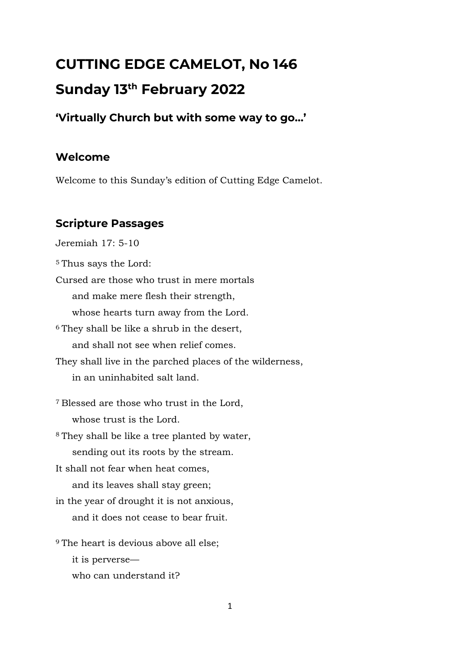# **CUTTING EDGE CAMELOT, No 146 Sunday 13th February 2022**

# **'Virtually Church but with some way to go…'**

# **Welcome**

Welcome to this Sunday's edition of Cutting Edge Camelot.

# **Scripture Passages**

Jeremiah 17: 5-10 <sup>5</sup> Thus says the Lord: Cursed are those who trust in mere mortals and make mere flesh their strength, whose hearts turn away from the Lord. <sup>6</sup> They shall be like a shrub in the desert, and shall not see when relief comes. They shall live in the parched places of the wilderness, in an uninhabited salt land. <sup>7</sup> Blessed are those who trust in the Lord, whose trust is the Lord. <sup>8</sup> They shall be like a tree planted by water, sending out its roots by the stream. It shall not fear when heat comes, and its leaves shall stay green; in the year of drought it is not anxious, and it does not cease to bear fruit. <sup>9</sup> The heart is devious above all else; it is perverse who can understand it?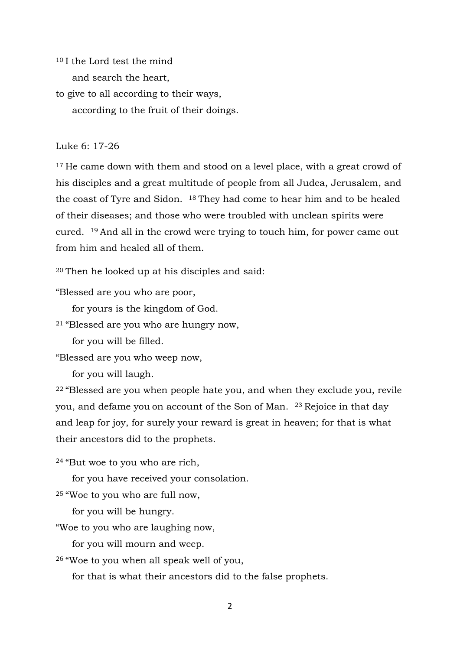<sup>10</sup> I the Lord test the mind and search the heart,

to give to all according to their ways, according to the fruit of their doings.

#### Luke 6: 17-26

<sup>17</sup> He came down with them and stood on a level place, with a great crowd of his disciples and a great multitude of people from all Judea, Jerusalem, and the coast of Tyre and Sidon. <sup>18</sup> They had come to hear him and to be healed of their diseases; and those who were troubled with unclean spirits were cured. <sup>19</sup> And all in the crowd were trying to touch him, for power came out from him and healed all of them.

<sup>20</sup> Then he looked up at his disciples and said:

"Blessed are you who are poor,

for yours is the kingdom of God.

<sup>21</sup> "Blessed are you who are hungry now,

for you will be filled.

"Blessed are you who weep now,

for you will laugh.

<sup>22</sup> "Blessed are you when people hate you, and when they exclude you, revile you, and defame you on account of the Son of Man. <sup>23</sup> Rejoice in that day and leap for joy, for surely your reward is great in heaven; for that is what their ancestors did to the prophets.

<sup>24</sup> "But woe to you who are rich,

for you have received your consolation.

<sup>25</sup> "Woe to you who are full now,

for you will be hungry.

"Woe to you who are laughing now,

for you will mourn and weep.

<sup>26</sup> "Woe to you when all speak well of you,

for that is what their ancestors did to the false prophets.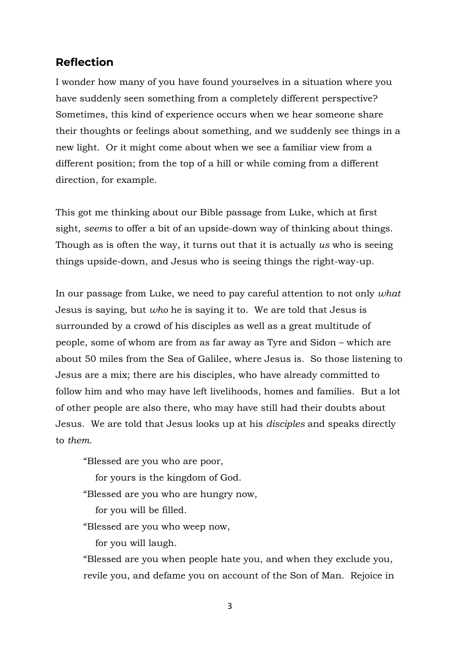### **Reflection**

I wonder how many of you have found yourselves in a situation where you have suddenly seen something from a completely different perspective? Sometimes, this kind of experience occurs when we hear someone share their thoughts or feelings about something, and we suddenly see things in a new light. Or it might come about when we see a familiar view from a different position; from the top of a hill or while coming from a different direction, for example.

This got me thinking about our Bible passage from Luke, which at first sight, *seems* to offer a bit of an upside-down way of thinking about things. Though as is often the way, it turns out that it is actually *us* who is seeing things upside-down, and Jesus who is seeing things the right-way-up.

In our passage from Luke, we need to pay careful attention to not only *what* Jesus is saying, but *who* he is saying it to. We are told that Jesus is surrounded by a crowd of his disciples as well as a great multitude of people, some of whom are from as far away as Tyre and Sidon – which are about 50 miles from the Sea of Galilee, where Jesus is. So those listening to Jesus are a mix; there are his disciples, who have already committed to follow him and who may have left livelihoods, homes and families. But a lot of other people are also there, who may have still had their doubts about Jesus. We are told that Jesus looks up at his *disciples* and speaks directly to *them*.

"Blessed are you who are poor,

for yours is the kingdom of God.

"Blessed are you who are hungry now,

for you will be filled.

"Blessed are you who weep now,

for you will laugh.

"Blessed are you when people hate you, and when they exclude you, revile you, and defame you on account of the Son of Man. Rejoice in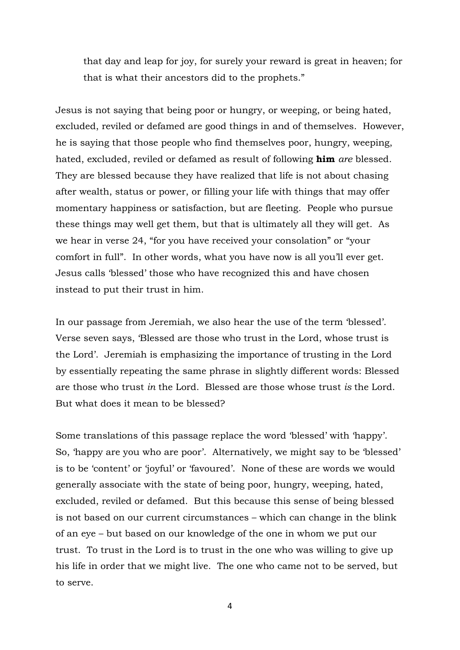that day and leap for joy, for surely your reward is great in heaven; for that is what their ancestors did to the prophets."

Jesus is not saying that being poor or hungry, or weeping, or being hated, excluded, reviled or defamed are good things in and of themselves. However, he is saying that those people who find themselves poor, hungry, weeping, hated, excluded, reviled or defamed as result of following **him** *are* blessed. They are blessed because they have realized that life is not about chasing after wealth, status or power, or filling your life with things that may offer momentary happiness or satisfaction, but are fleeting. People who pursue these things may well get them, but that is ultimately all they will get. As we hear in verse 24, "for you have received your consolation" or "your comfort in full". In other words, what you have now is all you'll ever get. Jesus calls 'blessed' those who have recognized this and have chosen instead to put their trust in him.

In our passage from Jeremiah, we also hear the use of the term 'blessed'. Verse seven says, 'Blessed are those who trust in the Lord, whose trust is the Lord'. Jeremiah is emphasizing the importance of trusting in the Lord by essentially repeating the same phrase in slightly different words: Blessed are those who trust *in* the Lord. Blessed are those whose trust *is* the Lord. But what does it mean to be blessed?

Some translations of this passage replace the word 'blessed' with 'happy'. So, 'happy are you who are poor'. Alternatively, we might say to be 'blessed' is to be 'content' or 'joyful' or 'favoured'. None of these are words we would generally associate with the state of being poor, hungry, weeping, hated, excluded, reviled or defamed. But this because this sense of being blessed is not based on our current circumstances – which can change in the blink of an eye – but based on our knowledge of the one in whom we put our trust. To trust in the Lord is to trust in the one who was willing to give up his life in order that we might live. The one who came not to be served, but to serve.

4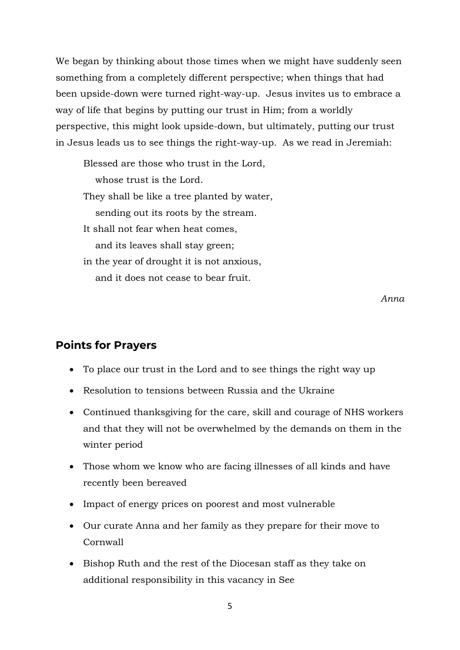We began by thinking about those times when we might have suddenly seen something from a completely different perspective; when things that had been upside-down were turned right-way-up. Jesus invites us to embrace a way of life that begins by putting our trust in Him; from a worldly perspective, this might look upside-down, but ultimately, putting our trust in Jesus leads us to see things the right-way-up. As we read in Jeremiah:

Blessed are those who trust in the Lord, whose trust is the Lord. They shall be like a tree planted by water, sending out its roots by the stream. It shall not fear when heat comes, and its leaves shall stay green; in the year of drought it is not anxious, and it does not cease to bear fruit.

*Anna*

#### **Points for Prayers**

- To place our trust in the Lord and to see things the right way up
- Resolution to tensions between Russia and the Ukraine
- Continued thanksgiving for the care, skill and courage of NHS workers and that they will not be overwhelmed by the demands on them in the winter period
- Those whom we know who are facing illnesses of all kinds and have recently been bereaved
- Impact of energy prices on poorest and most vulnerable
- Our curate Anna and her family as they prepare for their move to Cornwall
- Bishop Ruth and the rest of the Diocesan staff as they take on additional responsibility in this vacancy in See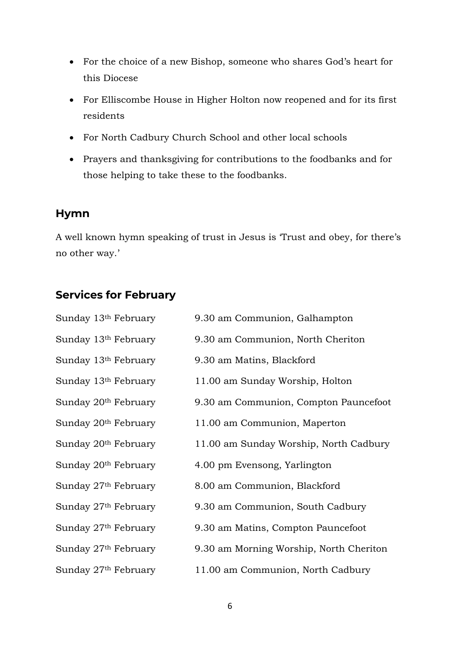- For the choice of a new Bishop, someone who shares God's heart for this Diocese
- For Elliscombe House in Higher Holton now reopened and for its first residents
- For North Cadbury Church School and other local schools
- Prayers and thanksgiving for contributions to the foodbanks and for those helping to take these to the foodbanks.

# **Hymn**

A well known hymn speaking of trust in Jesus is 'Trust and obey, for there's no other way.'

# **Services for February**

| Sunday 13th February             | 9.30 am Communion, Galhampton           |
|----------------------------------|-----------------------------------------|
| Sunday 13th February             | 9.30 am Communion, North Cheriton       |
| Sunday 13th February             | 9.30 am Matins, Blackford               |
| Sunday 13 <sup>th</sup> February | 11.00 am Sunday Worship, Holton         |
| Sunday 20 <sup>th</sup> February | 9.30 am Communion, Compton Pauncefoot   |
| Sunday 20 <sup>th</sup> February | 11.00 am Communion, Maperton            |
| Sunday 20 <sup>th</sup> February | 11.00 am Sunday Worship, North Cadbury  |
| Sunday 20 <sup>th</sup> February | 4.00 pm Evensong, Yarlington            |
| Sunday 27th February             | 8.00 am Communion, Blackford            |
| Sunday 27th February             | 9.30 am Communion, South Cadbury        |
| Sunday 27th February             | 9.30 am Matins, Compton Pauncefoot      |
| Sunday 27th February             | 9.30 am Morning Worship, North Cheriton |
| Sunday 27th February             | 11.00 am Communion, North Cadbury       |